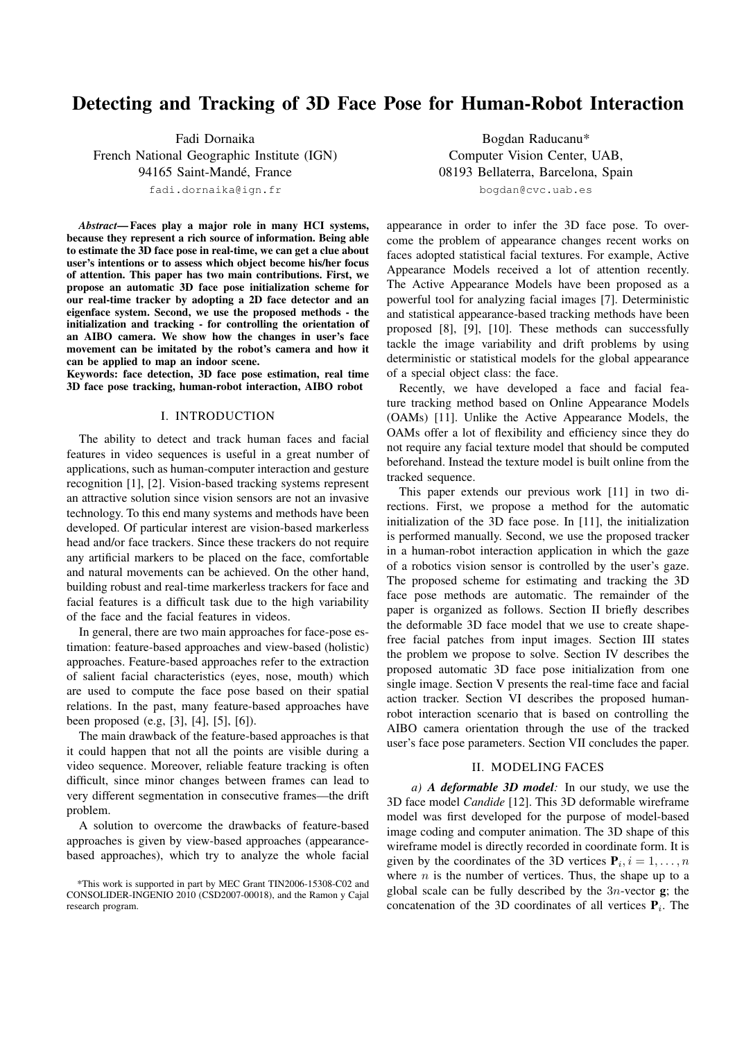# Detecting and Tracking of 3D Face Pose for Human-Robot Interaction

Fadi Dornaika

French National Geographic Institute (IGN) 94165 Saint-Mandé, France

fadi.dornaika@ign.fr

*Abstract*— Faces play a major role in many HCI systems, because they represent a rich source of information. Being able to estimate the 3D face pose in real-time, we can get a clue about user's intentions or to assess which object become his/her focus of attention. This paper has two main contributions. First, we propose an automatic 3D face pose initialization scheme for our real-time tracker by adopting a 2D face detector and an eigenface system. Second, we use the proposed methods - the initialization and tracking - for controlling the orientation of an AIBO camera. We show how the changes in user's face movement can be imitated by the robot's camera and how it can be applied to map an indoor scene.

Keywords: face detection, 3D face pose estimation, real time 3D face pose tracking, human-robot interaction, AIBO robot

#### I. INTRODUCTION

The ability to detect and track human faces and facial features in video sequences is useful in a great number of applications, such as human-computer interaction and gesture recognition [1], [2]. Vision-based tracking systems represent an attractive solution since vision sensors are not an invasive technology. To this end many systems and methods have been developed. Of particular interest are vision-based markerless head and/or face trackers. Since these trackers do not require any artificial markers to be placed on the face, comfortable and natural movements can be achieved. On the other hand, building robust and real-time markerless trackers for face and facial features is a difficult task due to the high variability of the face and the facial features in videos.

In general, there are two main approaches for face-pose estimation: feature-based approaches and view-based (holistic) approaches. Feature-based approaches refer to the extraction of salient facial characteristics (eyes, nose, mouth) which are used to compute the face pose based on their spatial relations. In the past, many feature-based approaches have been proposed (e.g, [3], [4], [5], [6]).

The main drawback of the feature-based approaches is that it could happen that not all the points are visible during a video sequence. Moreover, reliable feature tracking is often difficult, since minor changes between frames can lead to very different segmentation in consecutive frames—the drift problem.

A solution to overcome the drawbacks of feature-based approaches is given by view-based approaches (appearancebased approaches), which try to analyze the whole facial

Bogdan Raducanu\* Computer Vision Center, UAB, 08193 Bellaterra, Barcelona, Spain bogdan@cvc.uab.es

appearance in order to infer the 3D face pose. To overcome the problem of appearance changes recent works on faces adopted statistical facial textures. For example, Active Appearance Models received a lot of attention recently. The Active Appearance Models have been proposed as a powerful tool for analyzing facial images [7]. Deterministic and statistical appearance-based tracking methods have been proposed [8], [9], [10]. These methods can successfully tackle the image variability and drift problems by using deterministic or statistical models for the global appearance of a special object class: the face.

Recently, we have developed a face and facial feature tracking method based on Online Appearance Models (OAMs) [11]. Unlike the Active Appearance Models, the OAMs offer a lot of flexibility and efficiency since they do not require any facial texture model that should be computed beforehand. Instead the texture model is built online from the tracked sequence.

This paper extends our previous work [11] in two directions. First, we propose a method for the automatic initialization of the 3D face pose. In [11], the initialization is performed manually. Second, we use the proposed tracker in a human-robot interaction application in which the gaze of a robotics vision sensor is controlled by the user's gaze. The proposed scheme for estimating and tracking the 3D face pose methods are automatic. The remainder of the paper is organized as follows. Section II briefly describes the deformable 3D face model that we use to create shapefree facial patches from input images. Section III states the problem we propose to solve. Section IV describes the proposed automatic 3D face pose initialization from one single image. Section V presents the real-time face and facial action tracker. Section VI describes the proposed humanrobot interaction scenario that is based on controlling the AIBO camera orientation through the use of the tracked user's face pose parameters. Section VII concludes the paper.

## II. MODELING FACES

*a) A deformable 3D model:* In our study, we use the 3D face model *Candide* [12]. This 3D deformable wireframe model was first developed for the purpose of model-based image coding and computer animation. The 3D shape of this wireframe model is directly recorded in coordinate form. It is given by the coordinates of the 3D vertices  $P_i$ ,  $i = 1, \ldots, n$ where  $n$  is the number of vertices. Thus, the shape up to a global scale can be fully described by the  $3n$ -vector **g**; the concatenation of the 3D coordinates of all vertices  $P_i$ . The

<sup>\*</sup>This work is supported in part by MEC Grant TIN2006-15308-C02 and CONSOLIDER-INGENIO 2010 (CSD2007-00018), and the Ramon y Cajal research program.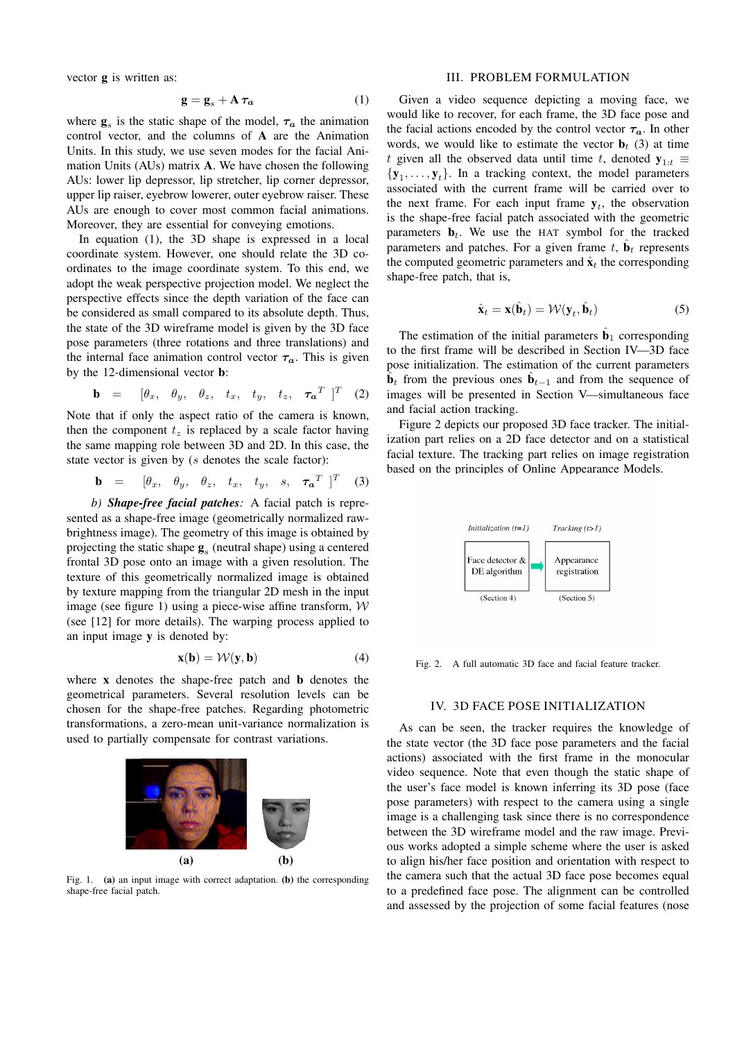vector g is written as:

$$
\mathbf{g} = \mathbf{g}_s + \mathbf{A} \,\boldsymbol{\tau}_a \tag{1}
$$

where  $\mathbf{g}_s$  is the static shape of the model,  $\tau_a$  the animation control vector, and the columns of A are the Animation Units. In this study, we use seven modes for the facial Animation Units (AUs) matrix A. We have chosen the following AUs: lower lip depressor, lip stretcher, lip corner depressor, upper lip raiser, eyebrow lowerer, outer eyebrow raiser. These AUs are enough to cover most common facial animations. Moreover, they are essential for conveying emotions.

In equation (1), the 3D shape is expressed in a local coordinate system. However, one should relate the 3D coordinates to the image coordinate system. To this end, we adopt the weak perspective projection model. We neglect the perspective effects since the depth variation of the face can be considered as small compared to its absolute depth. Thus, the state of the 3D wireframe model is given by the 3D face pose parameters (three rotations and three translations) and the internal face animation control vector  $\tau_a$ . This is given by the 12-dimensional vector b:

$$
\mathbf{b} = [\theta_x, \quad \theta_y, \quad \theta_z, \quad t_x, \quad t_y, \quad t_z, \quad \boldsymbol{\tau_a}^T \ ]^T \quad (2)
$$

Note that if only the aspect ratio of the camera is known, then the component  $t<sub>z</sub>$  is replaced by a scale factor having the same mapping role between 3D and 2D. In this case, the state vector is given by (s denotes the scale factor):

$$
\mathbf{b} = [\theta_x, \quad \theta_y, \quad \theta_z, \quad t_x, \quad t_y, \quad s, \quad \boldsymbol{\tau_a}^T \ ]^T \quad (3)
$$

*b) Shape-free facial patches:* A facial patch is represented as a shape-free image (geometrically normalized rawbrightness image). The geometry of this image is obtained by projecting the static shape  $\mathbf{g}_s$  (neutral shape) using a centered frontal 3D pose onto an image with a given resolution. The texture of this geometrically normalized image is obtained by texture mapping from the triangular 2D mesh in the input image (see figure 1) using a piece-wise affine transform,  $W$ (see [12] for more details). The warping process applied to an input image y is denoted by:

$$
\mathbf{x}(\mathbf{b}) = \mathcal{W}(\mathbf{y}, \mathbf{b}) \tag{4}
$$

where x denotes the shape-free patch and b denotes the geometrical parameters. Several resolution levels can be chosen for the shape-free patches. Regarding photometric transformations, a zero-mean unit-variance normalization is used to partially compensate for contrast variations.



Fig. 1. (a) an input image with correct adaptation. (b) the corresponding shape-free facial patch.

## III. PROBLEM FORMULATION

Given a video sequence depicting a moving face, we would like to recover, for each frame, the 3D face pose and the facial actions encoded by the control vector  $\tau_a$ . In other words, we would like to estimate the vector  $\mathbf{b}_t$  (3) at time t given all the observed data until time t, denoted  $y_{1:t} \equiv$  $\{y_1, \ldots, y_t\}$ . In a tracking context, the model parameters associated with the current frame will be carried over to the next frame. For each input frame  $y_t$ , the observation is the shape-free facial patch associated with the geometric parameters  $\mathbf{b}_t$ . We use the HAT symbol for the tracked parameters and patches. For a given frame  $t$ ,  $\hat{\mathbf{b}}_t$  represents the computed geometric parameters and  $\hat{\mathbf{x}}_t$  the corresponding shape-free patch, that is,

$$
\hat{\mathbf{x}}_t = \mathbf{x}(\hat{\mathbf{b}}_t) = \mathcal{W}(\mathbf{y}_t, \hat{\mathbf{b}}_t)
$$
 (5)

The estimation of the initial parameters  $\hat{\mathbf{b}}_1$  corresponding to the first frame will be described in Section IV—3D face pose initialization. The estimation of the current parameters  $\hat{\mathbf{b}}_t$  from the previous ones  $\hat{\mathbf{b}}_{t-1}$  and from the sequence of images will be presented in Section V—simultaneous face and facial action tracking.

Figure 2 depicts our proposed 3D face tracker. The initialization part relies on a 2D face detector and on a statistical facial texture. The tracking part relies on image registration based on the principles of Online Appearance Models.



Fig. 2. A full automatic 3D face and facial feature tracker.

## IV. 3D FACE POSE INITIALIZATION

As can be seen, the tracker requires the knowledge of the state vector (the 3D face pose parameters and the facial actions) associated with the first frame in the monocular video sequence. Note that even though the static shape of the user's face model is known inferring its 3D pose (face pose parameters) with respect to the camera using a single image is a challenging task since there is no correspondence between the 3D wireframe model and the raw image. Previous works adopted a simple scheme where the user is asked to align his/her face position and orientation with respect to the camera such that the actual 3D face pose becomes equal to a predefined face pose. The alignment can be controlled and assessed by the projection of some facial features (nose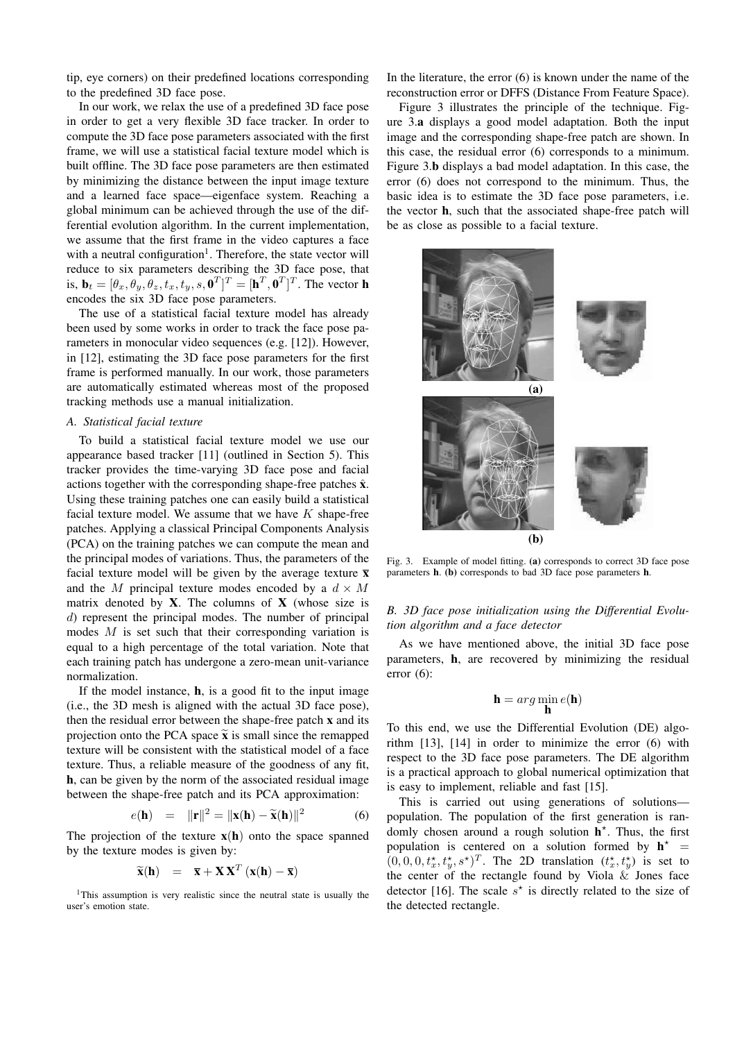tip, eye corners) on their predefined locations corresponding to the predefined 3D face pose.

In our work, we relax the use of a predefined 3D face pose in order to get a very flexible 3D face tracker. In order to compute the 3D face pose parameters associated with the first frame, we will use a statistical facial texture model which is built offline. The 3D face pose parameters are then estimated by minimizing the distance between the input image texture and a learned face space—eigenface system. Reaching a global minimum can be achieved through the use of the differential evolution algorithm. In the current implementation, we assume that the first frame in the video captures a face with a neutral configuration<sup>1</sup>. Therefore, the state vector will reduce to six parameters describing the 3D face pose, that is,  $\mathbf{b}_t = [\theta_x, \theta_y, \theta_z, t_x, t_y, s, \mathbf{0}^T]^T = [\mathbf{h}^T, \mathbf{0}^T]^T$ . The vector **h** encodes the six 3D face pose parameters.

The use of a statistical facial texture model has already been used by some works in order to track the face pose parameters in monocular video sequences (e.g. [12]). However, in [12], estimating the 3D face pose parameters for the first frame is performed manually. In our work, those parameters are automatically estimated whereas most of the proposed tracking methods use a manual initialization.

#### *A. Statistical facial texture*

To build a statistical facial texture model we use our appearance based tracker [11] (outlined in Section 5). This tracker provides the time-varying 3D face pose and facial actions together with the corresponding shape-free patches  $\hat{\mathbf{x}}$ . Using these training patches one can easily build a statistical facial texture model. We assume that we have  $K$  shape-free patches. Applying a classical Principal Components Analysis (PCA) on the training patches we can compute the mean and the principal modes of variations. Thus, the parameters of the facial texture model will be given by the average texture  $\bar{x}$ and the M principal texture modes encoded by a  $d \times M$ matrix denoted by  $X$ . The columns of  $X$  (whose size is d) represent the principal modes. The number of principal modes  $M$  is set such that their corresponding variation is equal to a high percentage of the total variation. Note that each training patch has undergone a zero-mean unit-variance normalization.

If the model instance, **, is a good fit to the input image** (i.e., the 3D mesh is aligned with the actual 3D face pose), then the residual error between the shape-free patch x and its projection onto the PCA space  $\tilde{\mathbf{x}}$  is small since the remapped texture will be consistent with the statistical model of a face texture. Thus, a reliable measure of the goodness of any fit, h, can be given by the norm of the associated residual image between the shape-free patch and its PCA approximation:

$$
e(\mathbf{h}) = ||\mathbf{r}||^2 = ||\mathbf{x}(\mathbf{h}) - \widetilde{\mathbf{x}}(\mathbf{h})||^2 \tag{6}
$$

The projection of the texture  $\mathbf{x}(\mathbf{h})$  onto the space spanned by the texture modes is given by:

$$
\widetilde{\mathbf{x}}(\mathbf{h}) = \overline{\mathbf{x}} + \mathbf{X} \mathbf{X}^T (\mathbf{x}(\mathbf{h}) - \overline{\mathbf{x}})
$$

<sup>1</sup>This assumption is very realistic since the neutral state is usually the user's emotion state.

In the literature, the error (6) is known under the name of the reconstruction error or DFFS (Distance From Feature Space).

Figure 3 illustrates the principle of the technique. Figure 3.a displays a good model adaptation. Both the input image and the corresponding shape-free patch are shown. In this case, the residual error (6) corresponds to a minimum. Figure 3.b displays a bad model adaptation. In this case, the error (6) does not correspond to the minimum. Thus, the basic idea is to estimate the 3D face pose parameters, i.e. the vector h, such that the associated shape-free patch will be as close as possible to a facial texture.



Fig. 3. Example of model fitting. (a) corresponds to correct 3D face pose parameters h. (b) corresponds to bad 3D face pose parameters h.

*B. 3D face pose initialization using the Differential Evolution algorithm and a face detector*

As we have mentioned above, the initial 3D face pose parameters, h, are recovered by minimizing the residual error (6):

$$
\mathbf{h} = arg \min_{\mathbf{h}} e(\mathbf{h})
$$

To this end, we use the Differential Evolution (DE) algorithm [13], [14] in order to minimize the error (6) with respect to the 3D face pose parameters. The DE algorithm is a practical approach to global numerical optimization that is easy to implement, reliable and fast [15].

This is carried out using generations of solutions population. The population of the first generation is randomly chosen around a rough solution  $h^*$ . Thus, the first population is centered on a solution formed by  $h^*$  =  $(0,0,0,t_x^*,t_y^*,s^*)^T$ . The 2D translation  $(t_x^*,t_y^*)$  is set to the center of the rectangle found by Viola  $\&$  Jones face detector [16]. The scale  $s^*$  is directly related to the size of the detected rectangle.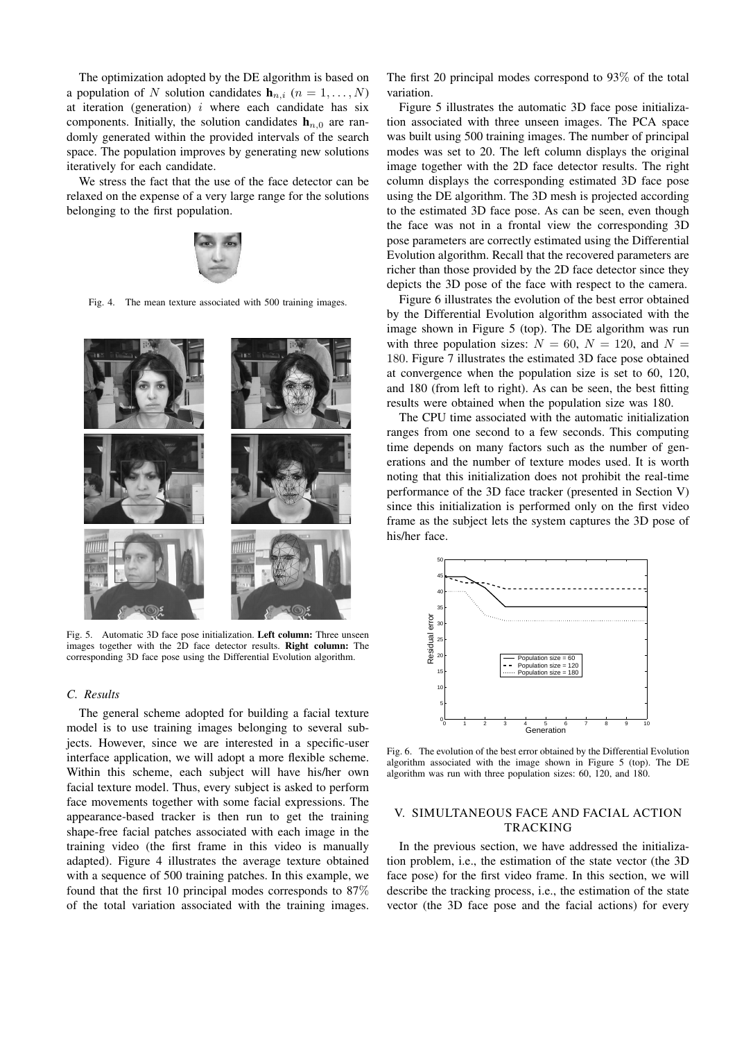The optimization adopted by the DE algorithm is based on a population of N solution candidates  $h_{n,i}$   $(n = 1, \ldots, N)$ at iteration (generation)  $i$  where each candidate has six components. Initially, the solution candidates  $h_{n,0}$  are randomly generated within the provided intervals of the search space. The population improves by generating new solutions iteratively for each candidate.

We stress the fact that the use of the face detector can be relaxed on the expense of a very large range for the solutions belonging to the first population.



Fig. 4. The mean texture associated with 500 training images.



Fig. 5. Automatic 3D face pose initialization. Left column: Three unseen images together with the 2D face detector results. Right column: The corresponding 3D face pose using the Differential Evolution algorithm.

#### *C. Results*

The general scheme adopted for building a facial texture model is to use training images belonging to several subjects. However, since we are interested in a specific-user interface application, we will adopt a more flexible scheme. Within this scheme, each subject will have his/her own facial texture model. Thus, every subject is asked to perform face movements together with some facial expressions. The appearance-based tracker is then run to get the training shape-free facial patches associated with each image in the training video (the first frame in this video is manually adapted). Figure 4 illustrates the average texture obtained with a sequence of 500 training patches. In this example, we found that the first 10 principal modes corresponds to 87% of the total variation associated with the training images.

The first 20 principal modes correspond to 93% of the total variation.

Figure 5 illustrates the automatic 3D face pose initialization associated with three unseen images. The PCA space was built using 500 training images. The number of principal modes was set to 20. The left column displays the original image together with the 2D face detector results. The right column displays the corresponding estimated 3D face pose using the DE algorithm. The 3D mesh is projected according to the estimated 3D face pose. As can be seen, even though the face was not in a frontal view the corresponding 3D pose parameters are correctly estimated using the Differential Evolution algorithm. Recall that the recovered parameters are richer than those provided by the 2D face detector since they depicts the 3D pose of the face with respect to the camera.

Figure 6 illustrates the evolution of the best error obtained by the Differential Evolution algorithm associated with the image shown in Figure 5 (top). The DE algorithm was run with three population sizes:  $N = 60$ ,  $N = 120$ , and  $N =$ 180. Figure 7 illustrates the estimated 3D face pose obtained at convergence when the population size is set to 60, 120, and 180 (from left to right). As can be seen, the best fitting results were obtained when the population size was 180.

The CPU time associated with the automatic initialization ranges from one second to a few seconds. This computing time depends on many factors such as the number of generations and the number of texture modes used. It is worth noting that this initialization does not prohibit the real-time performance of the 3D face tracker (presented in Section V) since this initialization is performed only on the first video frame as the subject lets the system captures the 3D pose of his/her face.



Fig. 6. The evolution of the best error obtained by the Differential Evolution algorithm associated with the image shown in Figure 5 (top). The DE algorithm was run with three population sizes: 60, 120, and 180.

### V. SIMULTANEOUS FACE AND FACIAL ACTION TRACKING

In the previous section, we have addressed the initialization problem, i.e., the estimation of the state vector (the 3D face pose) for the first video frame. In this section, we will describe the tracking process, i.e., the estimation of the state vector (the 3D face pose and the facial actions) for every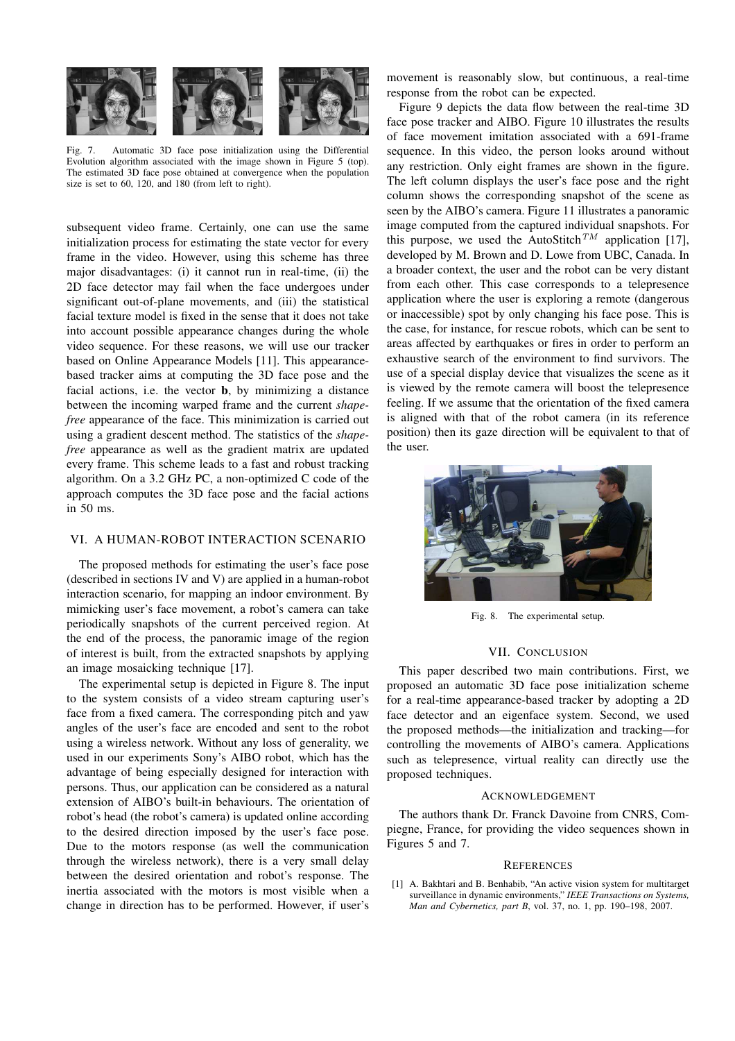

Fig. 7. Automatic 3D face pose initialization using the Differential Evolution algorithm associated with the image shown in Figure 5 (top). The estimated 3D face pose obtained at convergence when the population size is set to 60, 120, and 180 (from left to right).

subsequent video frame. Certainly, one can use the same initialization process for estimating the state vector for every frame in the video. However, using this scheme has three major disadvantages: (i) it cannot run in real-time, (ii) the 2D face detector may fail when the face undergoes under significant out-of-plane movements, and (iii) the statistical facial texture model is fixed in the sense that it does not take into account possible appearance changes during the whole video sequence. For these reasons, we will use our tracker based on Online Appearance Models [11]. This appearancebased tracker aims at computing the 3D face pose and the facial actions, i.e. the vector b, by minimizing a distance between the incoming warped frame and the current *shapefree* appearance of the face. This minimization is carried out using a gradient descent method. The statistics of the *shapefree* appearance as well as the gradient matrix are updated every frame. This scheme leads to a fast and robust tracking algorithm. On a 3.2 GHz PC, a non-optimized C code of the approach computes the 3D face pose and the facial actions in 50 ms.

#### VI. A HUMAN-ROBOT INTERACTION SCENARIO

The proposed methods for estimating the user's face pose (described in sections IV and V) are applied in a human-robot interaction scenario, for mapping an indoor environment. By mimicking user's face movement, a robot's camera can take periodically snapshots of the current perceived region. At the end of the process, the panoramic image of the region of interest is built, from the extracted snapshots by applying an image mosaicking technique [17].

The experimental setup is depicted in Figure 8. The input to the system consists of a video stream capturing user's face from a fixed camera. The corresponding pitch and yaw angles of the user's face are encoded and sent to the robot using a wireless network. Without any loss of generality, we used in our experiments Sony's AIBO robot, which has the advantage of being especially designed for interaction with persons. Thus, our application can be considered as a natural extension of AIBO's built-in behaviours. The orientation of robot's head (the robot's camera) is updated online according to the desired direction imposed by the user's face pose. Due to the motors response (as well the communication through the wireless network), there is a very small delay between the desired orientation and robot's response. The inertia associated with the motors is most visible when a change in direction has to be performed. However, if user's

movement is reasonably slow, but continuous, a real-time response from the robot can be expected.

Figure 9 depicts the data flow between the real-time 3D face pose tracker and AIBO. Figure 10 illustrates the results of face movement imitation associated with a 691-frame sequence. In this video, the person looks around without any restriction. Only eight frames are shown in the figure. The left column displays the user's face pose and the right column shows the corresponding snapshot of the scene as seen by the AIBO's camera. Figure 11 illustrates a panoramic image computed from the captured individual snapshots. For this purpose, we used the AutoStitch<sup>TM</sup> application [17], developed by M. Brown and D. Lowe from UBC, Canada. In a broader context, the user and the robot can be very distant from each other. This case corresponds to a telepresence application where the user is exploring a remote (dangerous or inaccessible) spot by only changing his face pose. This is the case, for instance, for rescue robots, which can be sent to areas affected by earthquakes or fires in order to perform an exhaustive search of the environment to find survivors. The use of a special display device that visualizes the scene as it is viewed by the remote camera will boost the telepresence feeling. If we assume that the orientation of the fixed camera is aligned with that of the robot camera (in its reference position) then its gaze direction will be equivalent to that of the user.



Fig. 8. The experimental setup.

#### VII. CONCLUSION

This paper described two main contributions. First, we proposed an automatic 3D face pose initialization scheme for a real-time appearance-based tracker by adopting a 2D face detector and an eigenface system. Second, we used the proposed methods—the initialization and tracking—for controlling the movements of AIBO's camera. Applications such as telepresence, virtual reality can directly use the proposed techniques.

#### ACKNOWLEDGEMENT

The authors thank Dr. Franck Davoine from CNRS, Compiegne, France, for providing the video sequences shown in Figures 5 and 7.

#### **REFERENCES**

[1] A. Bakhtari and B. Benhabib, "An active vision system for multitarget surveillance in dynamic environments," *IEEE Transactions on Systems, Man and Cybernetics, part B*, vol. 37, no. 1, pp. 190–198, 2007.